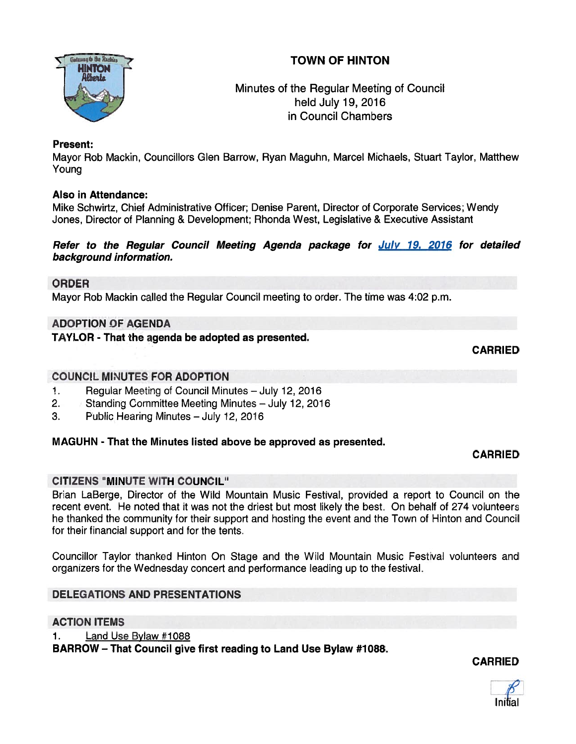# TOWN OF HINTON



# Minutes of the Regular Meeting of Council held July 19, 2016 in Council Chambers

### Present:

Mayor Rob Mackin, Councillors Glen Barrow, Ryan Maguhn, Marcel Michaels, Stuart Taylor, Matthew Young

# Also in Attendance:

Mike Schwirtz, Chief Administrative Officer; Denise Parent, Director of Corporate Services; Wendy Jones, Director of Planning & Development; Rhonda West, Legislative & Executive Assistant

### Refer to the Regular Council Meeting Agenda package for July 19, 2016 for detailed background information.

### ORDER

Mayor Rob Mackin called the Regular Council meeting to order. The time was 4:02 p.m.

# ADOPTION OF AGENDA

# TAYLOR - That the agenda be adopted as presented.

**CARRIED** 

### COUNCIL MINUTES FOR ADOPTION

- 1. Regular Meeting of Council Minutes July 12, 2016
- 2. Standing Committee Meeting Minutes July 12, 2016
- 3. Public Hearing Minutes July 12, 2016

# MAGUHN - That the Minutes listed above be approved as presented.

#### CARRIED

# CITIZENS "MINUTE WITH COUNCIL"

Brian LaBerge, Director of the Wild Mountain Music Festival, provided <sup>a</sup> repor<sup>t</sup> to Council on the recent event. He noted that it was not the driest but most likely the best. On behalf of 274 volunteers he thanked the community for their suppor<sup>t</sup> and hosting the event and the Town of Hinton and Council for their financial suppor<sup>t</sup> and for the tents.

Councillor Taylor thanked Hinton On Stage and the Wild Mountain Music Festival volunteers and organizers for the Wednesday concert and performance leading up to the festival.

# DELEGATIONS AND PRESENTATIONS

# ACTION ITEMS

1. Land Use Bylaw #1088

BARROW - That Council give first reading to Land Use Bylaw #1088.

CARRIED